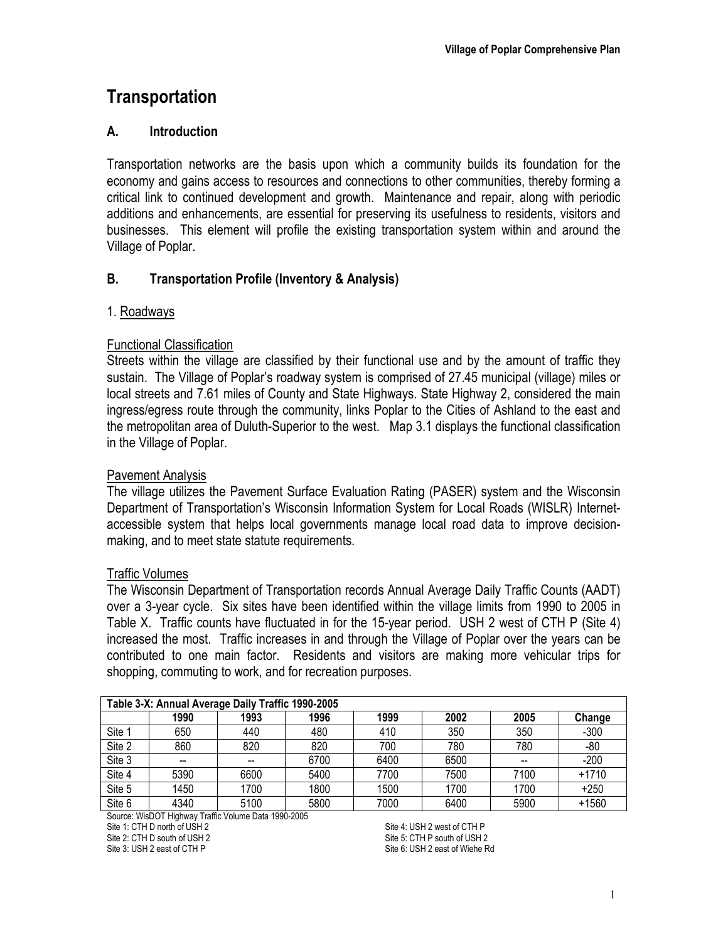# **Transportation**

# **A. Introduction**

Transportation networks are the basis upon which a community builds its foundation for the economy and gains access to resources and connections to other communities, thereby forming a critical link to continued development and growth. Maintenance and repair, along with periodic additions and enhancements, are essential for preserving its usefulness to residents, visitors and businesses. This element will profile the existing transportation system within and around the Village of Poplar.

# **B. Transportation Profile (Inventory & Analysis)**

# 1. Roadways

#### Functional Classification

Streets within the village are classified by their functional use and by the amount of traffic they sustain. The Village of Poplar's roadway system is comprised of 27.45 municipal (village) miles or local streets and 7.61 miles of County and State Highways. State Highway 2, considered the main ingress/egress route through the community, links Poplar to the Cities of Ashland to the east and the metropolitan area of Duluth-Superior to the west. Map 3.1 displays the functional classification in the Village of Poplar.

### Pavement Analysis

The village utilizes the Pavement Surface Evaluation Rating (PASER) system and the Wisconsin Department of Transportation's Wisconsin Information System for Local Roads (WISLR) Internetaccessible system that helps local governments manage local road data to improve decisionmaking, and to meet state statute requirements.

#### Traffic Volumes

The Wisconsin Department of Transportation records Annual Average Daily Traffic Counts (AADT) over a 3-year cycle. Six sites have been identified within the village limits from 1990 to 2005 in Table X. Traffic counts have fluctuated in for the 15-year period. USH 2 west of CTH P (Site 4) increased the most. Traffic increases in and through the Village of Poplar over the years can be contributed to one main factor. Residents and visitors are making more vehicular trips for shopping, commuting to work, and for recreation purposes.

| Table 3-X: Annual Average Daily Traffic 1990-2005 |      |      |      |      |      |      |         |  |
|---------------------------------------------------|------|------|------|------|------|------|---------|--|
|                                                   | 1990 | 1993 | 1996 | 1999 | 2002 | 2005 | Change  |  |
| Site 1                                            | 650  | 440  | 480  | 410  | 350  | 350  | $-300$  |  |
| Site 2                                            | 860  | 820  | 820  | 700  | 780  | 780  | -80     |  |
| Site 3                                            | --   |      | 6700 | 6400 | 6500 |      | $-200$  |  |
| Site 4                                            | 5390 | 6600 | 5400 | 7700 | 7500 | 7100 | $+1710$ |  |
| Site 5                                            | 1450 | 1700 | 1800 | 1500 | 1700 | 1700 | $+250$  |  |
| Site 6                                            | 4340 | 5100 | 5800 | 7000 | 6400 | 5900 | $+1560$ |  |

Source: WisDOT Highway Traffic Volume Data 1990-2005

Site 1: CTH D north of USH 2

Site 2: CTH D south of USH 2 Site 3: USH 2 east of CTH P

Site 4: USH 2 west of CTH P Site 5: CTH P south of USH 2 Site 6: USH 2 east of Wiehe Rd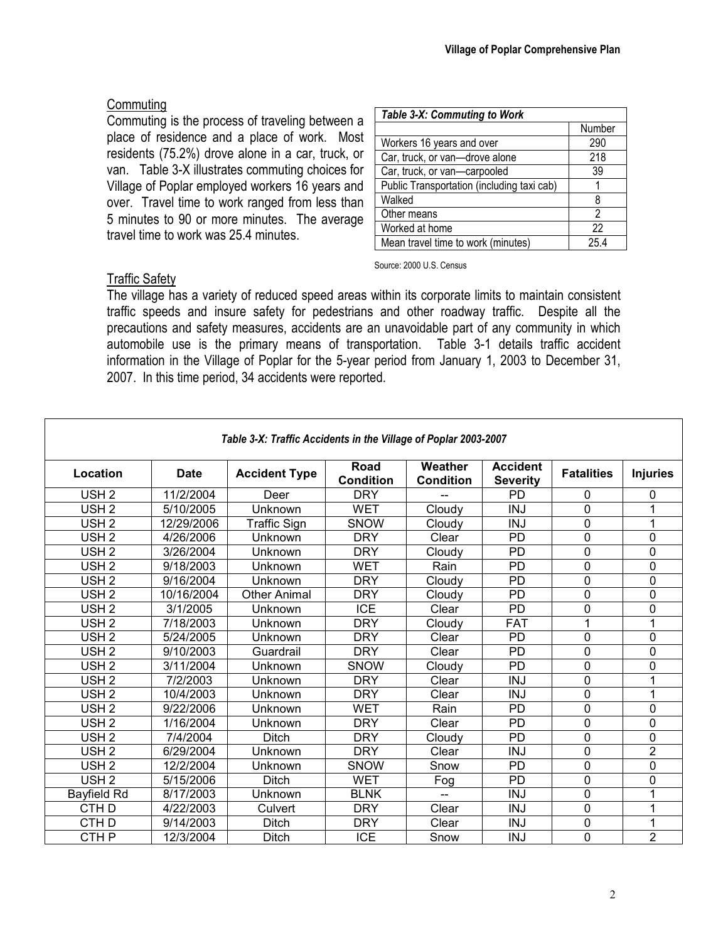#### **Commuting**

Commuting is the process of traveling between a place of residence and a place of work. Most residents (75.2%) drove alone in a car, truck, or van. Table 3-X illustrates commuting choices for Village of Poplar employed workers 16 years and over. Travel time to work ranged from less than 5 minutes to 90 or more minutes. The average travel time to work was 25.4 minutes.

| Table 3-X: Commuting to Work               |        |  |  |  |  |
|--------------------------------------------|--------|--|--|--|--|
|                                            | Number |  |  |  |  |
| Workers 16 years and over                  | 290    |  |  |  |  |
| Car, truck, or van-drove alone             | 218    |  |  |  |  |
| Car, truck, or van-carpooled               | 39     |  |  |  |  |
| Public Transportation (including taxi cab) |        |  |  |  |  |
| Walked                                     | 8      |  |  |  |  |
| Other means                                | 2      |  |  |  |  |
| Worked at home                             | 22     |  |  |  |  |
| Mean travel time to work (minutes)         | 254    |  |  |  |  |

Source: 2000 U.S. Census

#### **Traffic Safety**

Г

The village has a variety of reduced speed areas within its corporate limits to maintain consistent traffic speeds and insure safety for pedestrians and other roadway traffic. Despite all the precautions and safety measures, accidents are an unavoidable part of any community in which automobile use is the primary means of transportation. Table 3-1 details traffic accident information in the Village of Poplar for the 5-year period from January 1, 2003 to December 31, 2007. In this time period, 34 accidents were reported.

| Table 3-X: Traffic Accidents in the Village of Poplar 2003-2007 |             |                      |                          |                             |                                    |                   |                 |  |
|-----------------------------------------------------------------|-------------|----------------------|--------------------------|-----------------------------|------------------------------------|-------------------|-----------------|--|
| Location                                                        | <b>Date</b> | <b>Accident Type</b> | Road<br><b>Condition</b> | Weather<br><b>Condition</b> | <b>Accident</b><br><b>Severity</b> | <b>Fatalities</b> | <b>Injuries</b> |  |
| USH <sub>2</sub>                                                | 11/2/2004   | Deer                 | <b>DRY</b>               |                             | <b>PD</b>                          | $\mathbf{0}$      | 0               |  |
| USH <sub>2</sub>                                                | 5/10/2005   | Unknown              | <b>WET</b>               | Cloudy                      | <b>INJ</b>                         | $\Omega$          | 1               |  |
| USH <sub>2</sub>                                                | 12/29/2006  | <b>Traffic Sign</b>  | <b>SNOW</b>              | Cloudy                      | <b>INJ</b>                         | $\mathbf 0$       | 1               |  |
| USH <sub>2</sub>                                                | 4/26/2006   | Unknown              | <b>DRY</b>               | Clear                       | <b>PD</b>                          | $\mathbf 0$       | 0               |  |
| USH <sub>2</sub>                                                | 3/26/2004   | Unknown              | DRY                      | Cloudy                      | PD                                 | $\mathbf{0}$      | 0               |  |
| USH <sub>2</sub>                                                | 9/18/2003   | Unknown              | <b>WET</b>               | Rain                        | PD                                 | $\mathbf 0$       | 0               |  |
| USH <sub>2</sub>                                                | 9/16/2004   | Unknown              | <b>DRY</b>               | Cloudy                      | PD                                 | $\mathbf 0$       | 0               |  |
| USH <sub>2</sub>                                                | 10/16/2004  | <b>Other Animal</b>  | <b>DRY</b>               | Cloudy                      | PD                                 | $\mathbf 0$       | 0               |  |
| USH <sub>2</sub>                                                | 3/1/2005    | Unknown              | <b>ICE</b>               | Clear                       | PD                                 | $\mathbf 0$       | 0               |  |
| USH <sub>2</sub>                                                | 7/18/2003   | Unknown              | <b>DRY</b>               | Cloudy                      | <b>FAT</b>                         | 1                 | 1               |  |
| USH <sub>2</sub>                                                | 5/24/2005   | Unknown              | <b>DRY</b>               | Clear                       | PD                                 | $\mathbf 0$       | 0               |  |
| USH <sub>2</sub>                                                | 9/10/2003   | Guardrail            | <b>DRY</b>               | Clear                       | PD                                 | $\mathbf 0$       | 0               |  |
| USH <sub>2</sub>                                                | 3/11/2004   | Unknown              | <b>SNOW</b>              | Cloudy                      | PD                                 | $\Omega$          | 0               |  |
| USH <sub>2</sub>                                                | 7/2/2003    | Unknown              | <b>DRY</b>               | Clear                       | <b>INJ</b>                         | $\mathbf{0}$      | 1               |  |
| USH <sub>2</sub>                                                | 10/4/2003   | Unknown              | <b>DRY</b>               | Clear                       | <b>INJ</b>                         | $\overline{0}$    | 1               |  |
| USH <sub>2</sub>                                                | 9/22/2006   | Unknown              | <b>WET</b>               | Rain                        | <b>PD</b>                          | $\overline{0}$    | 0               |  |
| USH <sub>2</sub>                                                | 1/16/2004   | Unknown              | <b>DRY</b>               | Clear                       | <b>PD</b>                          | $\Omega$          | 0               |  |
| USH <sub>2</sub>                                                | 7/4/2004    | <b>Ditch</b>         | <b>DRY</b>               | Cloudy                      | PD                                 | $\mathbf 0$       | 0               |  |
| USH <sub>2</sub>                                                | 6/29/2004   | Unknown              | <b>DRY</b>               | Clear                       | <b>INJ</b>                         | $\mathbf 0$       | $\overline{2}$  |  |
| USH <sub>2</sub>                                                | 12/2/2004   | Unknown              | <b>SNOW</b>              | Snow                        | PD                                 | $\mathbf 0$       | 0               |  |
| USH <sub>2</sub>                                                | 5/15/2006   | Ditch                | <b>WET</b>               | Fog                         | <b>PD</b>                          | $\mathbf 0$       | 0               |  |
| Bayfield Rd                                                     | 8/17/2003   | Unknown              | <b>BLNK</b>              |                             | <b>INJ</b>                         | $\mathbf 0$       | 1               |  |
| CTH <sub>D</sub>                                                | 4/22/2003   | Culvert              | <b>DRY</b>               | Clear                       | <b>INJ</b>                         | $\mathbf 0$       | 1               |  |
| CTH <sub>D</sub>                                                | 9/14/2003   | Ditch                | <b>DRY</b>               | Clear                       | <b>INJ</b>                         | $\mathbf 0$       | 1               |  |
| CTH P                                                           | 12/3/2004   | Ditch                | <b>ICE</b>               | Snow                        | <b>INJ</b>                         | $\mathbf 0$       | $\overline{2}$  |  |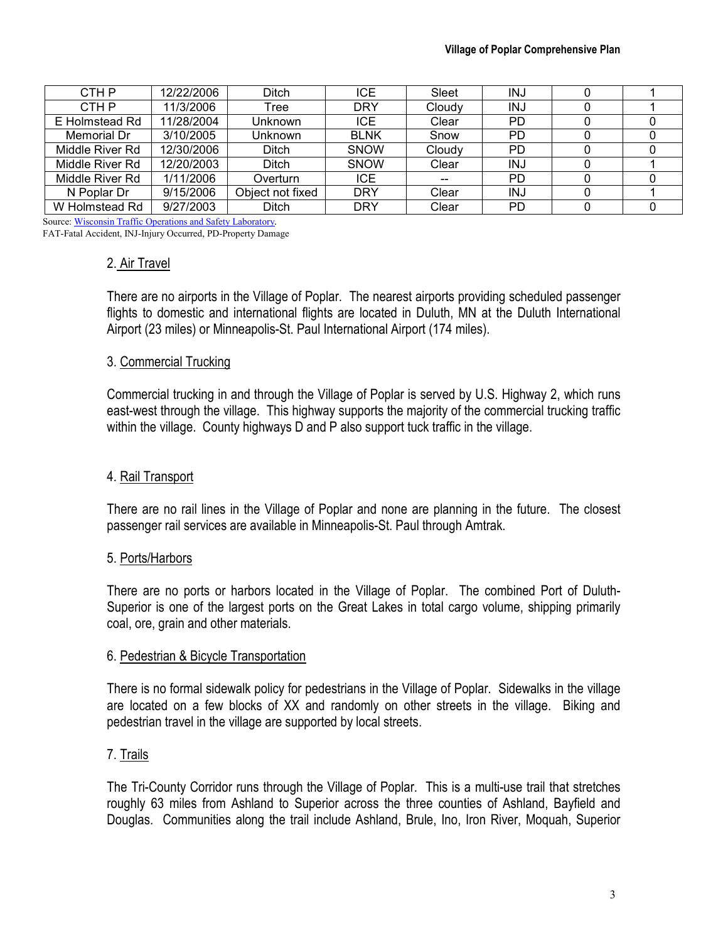| CTH P           | 12/22/2006 | Ditch            | ICE.        | Sleet  | <b>INJ</b> |  |
|-----------------|------------|------------------|-------------|--------|------------|--|
| CTH P           | 11/3/2006  | Tree             | <b>DRY</b>  | Cloudy | INJ        |  |
| E Holmstead Rd  | 11/28/2004 | Unknown          | <b>ICE</b>  | Clear  | PD         |  |
| Memorial Dr     | 3/10/2005  | Unknown          | <b>BLNK</b> | Snow   | PD         |  |
| Middle River Rd | 12/30/2006 | <b>Ditch</b>     | <b>SNOW</b> | Cloudy | PD         |  |
| Middle River Rd | 12/20/2003 | <b>Ditch</b>     | <b>SNOW</b> | Clear  | INJ        |  |
| Middle River Rd | 1/11/2006  | Overturn         | ICE.        | --     | PD         |  |
| N Poplar Dr     | 9/15/2006  | Object not fixed | <b>DRY</b>  | Clear  | <b>INJ</b> |  |
| W Holmstead Rd  | 9/27/2003  | Ditch            | <b>DRY</b>  | Clear  | PD         |  |

Source: Wisconsin Traffic Operations and Safety Laboratory*.*  FAT-Fatal Accident, INJ-Injury Occurred, PD-Property Damage

# 2. Air Travel

There are no airports in the Village of Poplar. The nearest airports providing scheduled passenger flights to domestic and international flights are located in Duluth, MN at the Duluth International Airport (23 miles) or Minneapolis-St. Paul International Airport (174 miles).

#### 3. Commercial Trucking

Commercial trucking in and through the Village of Poplar is served by U.S. Highway 2, which runs east-west through the village. This highway supports the majority of the commercial trucking traffic within the village. County highways D and P also support tuck traffic in the village.

# 4. Rail Transport

There are no rail lines in the Village of Poplar and none are planning in the future. The closest passenger rail services are available in Minneapolis-St. Paul through Amtrak.

#### 5. Ports/Harbors

There are no ports or harbors located in the Village of Poplar. The combined Port of Duluth-Superior is one of the largest ports on the Great Lakes in total cargo volume, shipping primarily coal, ore, grain and other materials.

#### 6. Pedestrian & Bicycle Transportation

There is no formal sidewalk policy for pedestrians in the Village of Poplar. Sidewalks in the village are located on a few blocks of XX and randomly on other streets in the village. Biking and pedestrian travel in the village are supported by local streets.

#### 7. Trails

The Tri-County Corridor runs through the Village of Poplar. This is a multi-use trail that stretches roughly 63 miles from Ashland to Superior across the three counties of Ashland, Bayfield and Douglas. Communities along the trail include Ashland, Brule, Ino, Iron River, Moquah, Superior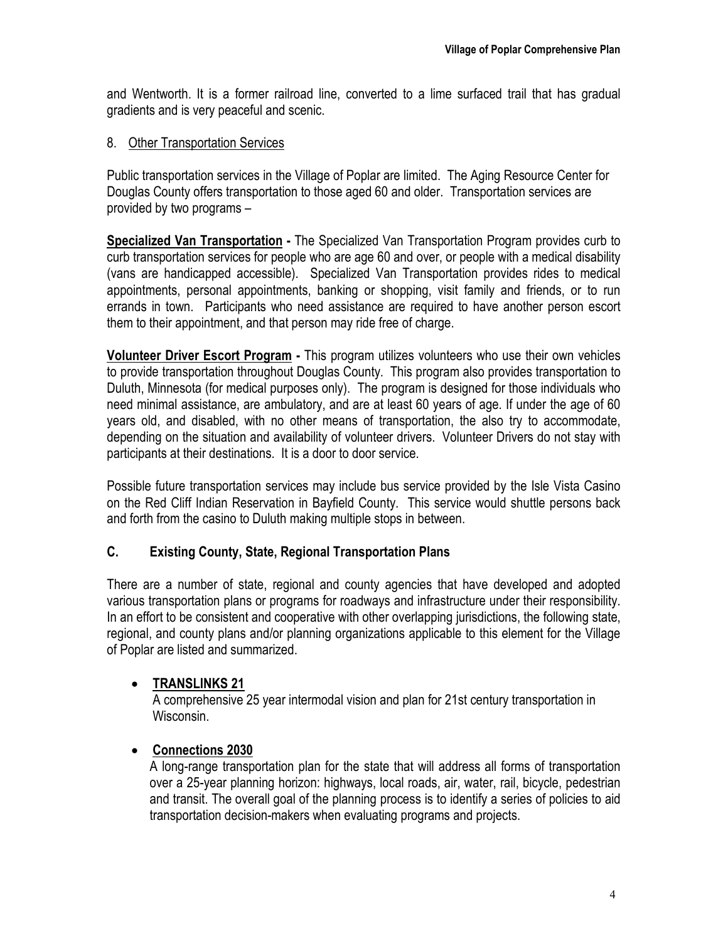and Wentworth. It is a former railroad line, converted to a lime surfaced trail that has gradual gradients and is very peaceful and scenic.

# 8. Other Transportation Services

Public transportation services in the Village of Poplar are limited. The Aging Resource Center for Douglas County offers transportation to those aged 60 and older. Transportation services are provided by two programs –

**Specialized Van Transportation -** The Specialized Van Transportation Program provides curb to curb transportation services for people who are age 60 and over, or people with a medical disability (vans are handicapped accessible). Specialized Van Transportation provides rides to medical appointments, personal appointments, banking or shopping, visit family and friends, or to run errands in town. Participants who need assistance are required to have another person escort them to their appointment, and that person may ride free of charge.

**Volunteer Driver Escort Program -** This program utilizes volunteers who use their own vehicles to provide transportation throughout Douglas County. This program also provides transportation to Duluth, Minnesota (for medical purposes only). The program is designed for those individuals who need minimal assistance, are ambulatory, and are at least 60 years of age. If under the age of 60 years old, and disabled, with no other means of transportation, the also try to accommodate, depending on the situation and availability of volunteer drivers. Volunteer Drivers do not stay with participants at their destinations. It is a door to door service.

Possible future transportation services may include bus service provided by the Isle Vista Casino on the Red Cliff Indian Reservation in Bayfield County. This service would shuttle persons back and forth from the casino to Duluth making multiple stops in between.

# **C. Existing County, State, Regional Transportation Plans**

There are a number of state, regional and county agencies that have developed and adopted various transportation plans or programs for roadways and infrastructure under their responsibility. In an effort to be consistent and cooperative with other overlapping jurisdictions, the following state, regional, and county plans and/or planning organizations applicable to this element for the Village of Poplar are listed and summarized.

# • **TRANSLINKS 21**

A comprehensive 25 year intermodal vision and plan for 21st century transportation in Wisconsin.

# • **Connections 2030**

A long-range transportation plan for the state that will address all forms of transportation over a 25-year planning horizon: highways, local roads, air, water, rail, bicycle, pedestrian and transit. The overall goal of the planning process is to identify a series of policies to aid transportation decision-makers when evaluating programs and projects.